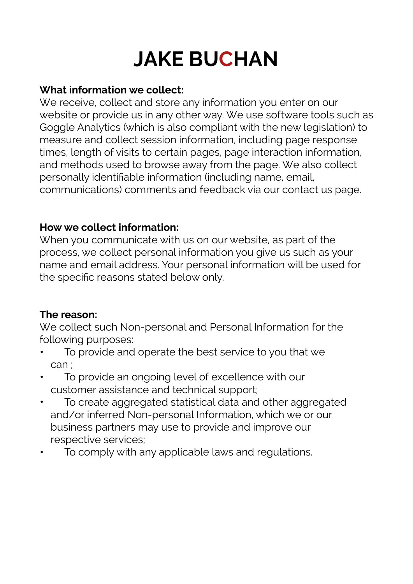# **JAKE BUCHAN**

# **What information we collect:**

We receive, collect and store any information you enter on our website or provide us in any other way. We use software tools such as Goggle Analytics (which is also compliant with the new legislation) to measure and collect session information, including page response times, length of visits to certain pages, page interaction information, and methods used to browse away from the page. We also collect personally identifiable information (including name, email, communications) comments and feedback via our contact us page.

# **How we collect information:**

When you communicate with us on our website, as part of the process, we collect personal information you give us such as your name and email address. Your personal information will be used for the specific reasons stated below only.

#### **The reason:**

We collect such Non-personal and Personal Information for the following purposes:

- To provide and operate the best service to you that we can ;
- To provide an ongoing level of excellence with our customer assistance and technical support;
- To create aggregated statistical data and other aggregated and/or inferred Non-personal Information, which we or our business partners may use to provide and improve our respective services;
- To comply with any applicable laws and regulations.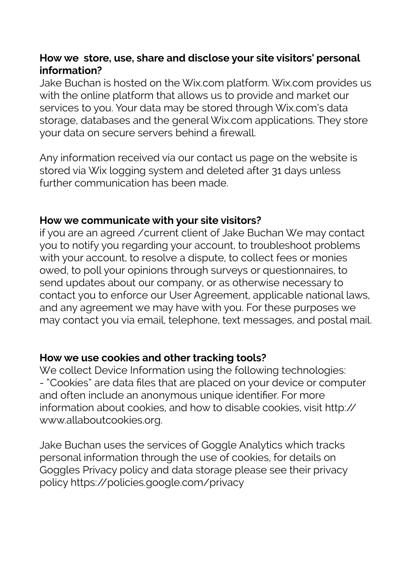# **How we store, use, share and disclose your site visitors' personal information?**

Jake Buchan is hosted on the Wix.com platform. Wix.com provides us with the online platform that allows us to provide and market our services to you. Your data may be stored through Wix.com's data storage, databases and the general Wix.com applications. They store your data on secure servers behind a firewall.

Any information received via our contact us page on the website is stored via Wix logging system and deleted after 31 days unless further communication has been made.

#### **How we communicate with your site visitors?**

if you are an agreed /current client of Jake Buchan We may contact you to notify you regarding your account, to troubleshoot problems with your account, to resolve a dispute, to collect fees or monies owed, to poll your opinions through surveys or questionnaires, to send updates about our company, or as otherwise necessary to contact you to enforce our User Agreement, applicable national laws, and any agreement we may have with you. For these purposes we may contact you via email, telephone, text messages, and postal mail.

#### **How we use cookies and other tracking tools?**

We collect Device Information using the following technologies: - "Cookies" are data files that are placed on your device or computer and often include an anonymous unique identifier. For more information about cookies, and how to disable cookies, visit [http://](https://l.facebook.com/l.php?u=http%3A%2F%2Fwww.allaboutcookies.org%2F&h=ATPCsHh-VtATsVA-acv8c-UQTSNdRXJNs2E4FPhCbZIh0xuIhp2OVWqt0chBmN-ECgnrHa-rscOrf-efaYaRRBnFRl8_1ab6DZTSTj-mfKKbb90uqQn-CFvW) [www.allaboutcookies.org](https://l.facebook.com/l.php?u=http%3A%2F%2Fwww.allaboutcookies.org%2F&h=ATPCsHh-VtATsVA-acv8c-UQTSNdRXJNs2E4FPhCbZIh0xuIhp2OVWqt0chBmN-ECgnrHa-rscOrf-efaYaRRBnFRl8_1ab6DZTSTj-mfKKbb90uqQn-CFvW).

Jake Buchan uses the services of Goggle Analytics which tracks personal information through the use of cookies, for details on Goggles Privacy policy and data storage please see their privacy policy [https://policies.google.com/privacy](https://l.facebook.com/l.php?u=https%3A%2F%2Fpolicies.google.com%2Fprivacy&h=ATPCsHh-VtATsVA-acv8c-UQTSNdRXJNs2E4FPhCbZIh0xuIhp2OVWqt0chBmN-ECgnrHa-rscOrf-efaYaRRBnFRl8_1ab6DZTSTj-mfKKbb90uqQn-CFvW)